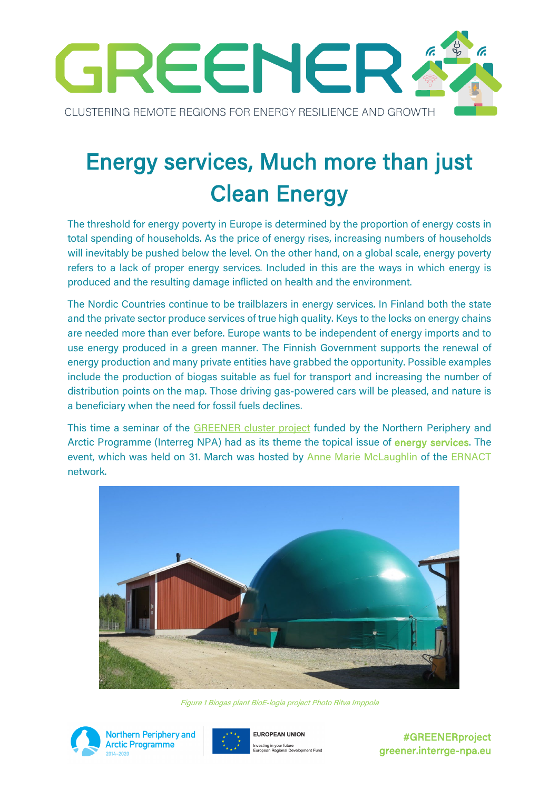

# Energy services, Much more than just Clean Energy

The threshold for energy poverty in Europe is determined by the proportion of energy costs in total spending of households. As the price of energy rises, increasing numbers of households will inevitably be pushed below the level. On the other hand, on a global scale, energy poverty refers to a lack of proper energy services. Included in this are the ways in which energy is produced and the resulting damage inflicted on health and the environment.

The Nordic Countries continue to be trailblazers in energy services. In Finland both the state and the private sector produce services of true high quality. Keys to the locks on energy chains are needed more than ever before. Europe wants to be independent of energy imports and to use energy produced in a green manner. The Finnish Government supports the renewal of energy production and many private entities have grabbed the opportunity. Possible examples include the production of biogas suitable as fuel for transport and increasing the number of distribution points on the map. Those driving gas-powered cars will be pleased, and nature is a beneficiary when the need for fossil fuels declines.

This time a seminar of the [GREENER cluster project](https://greener.interreg-npa.eu/) funded by the Northern Periphery and Arctic Programme (Interreg NPA) had as its theme the topical issue of energy services. The event, which was held on 31. March was hosted by Anne Marie McLaughlin of the ERNACT network.



Figure 1 Biogas plant BioE-logia project Photo Ritva Imppola





#GREENERproject greener.interrge-npa.eu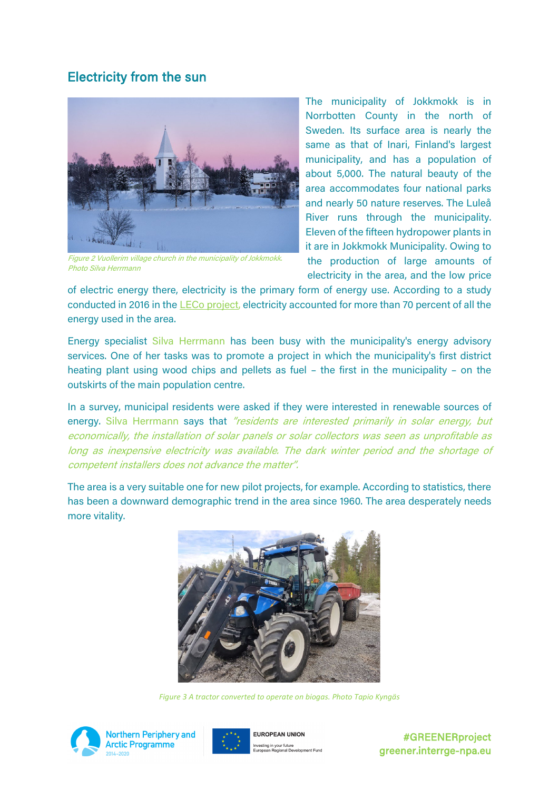### Electricity from the sun



Figure 2 Vuollerim village church in the municipality of Jokkmokk. Photo Silva Herrmann

The municipality of Jokkmokk is in Norrbotten County in the north of Sweden. Its surface area is nearly the same as that of Inari, Finland's largest municipality, and has a population of about 5,000. The natural beauty of the area accommodates four national parks and nearly 50 nature reserves. The Luleå River runs through the municipality. Eleven of the fifteen hydropower plants in it are in Jokkmokk Municipality. Owing to the production of large amounts of electricity in the area, and the low price

of electric energy there, electricity is the primary form of energy use. According to a study conducted in 2016 in the [LECo project,](https://leco.interreg-npa.eu/) electricity accounted for more than 70 percent of all the energy used in the area.

Energy specialist Silva Herrmann has been busy with the municipality's energy advisory services. One of her tasks was to promote a project in which the municipality's first district heating plant using wood chips and pellets as fuel – the first in the municipality – on the outskirts of the main population centre.

In a survey, municipal residents were asked if they were interested in renewable sources of energy. Silva Herrmann says that "residents are interested primarily in solar energy, but economically, the installation of solar panels or solar collectors was seen as unprofitable as long as inexpensive electricity was available. The dark winter period and the shortage of competent installers does not advance the matter".

The area is a very suitable one for new pilot projects, for example. According to statistics, there has been a downward demographic trend in the area since 1960. The area desperately needs more vitality.



*Figure 3 A tractor converted to operate on biogas. Photo Tapio Kyngäs*





**FUROPEAN UNION** Investing in your future<br>European Regional Development Fund

#GREENERproject greener.interrge-npa.eu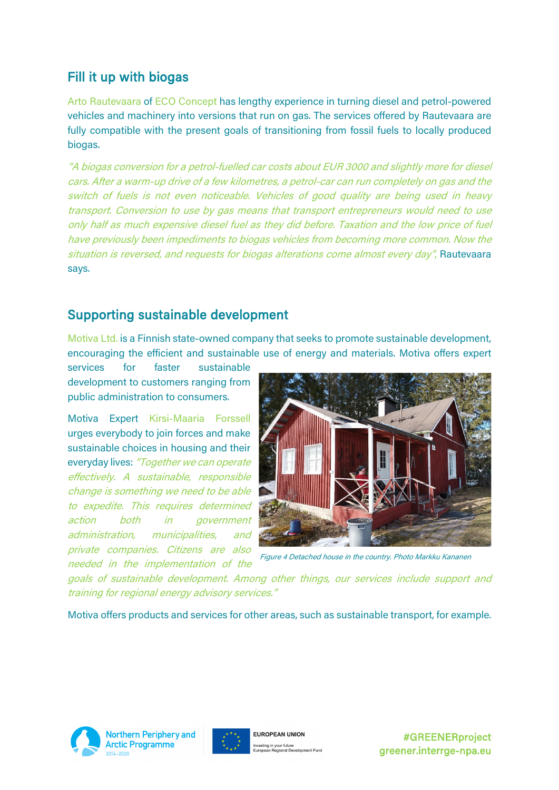# Fill it up with biogas

Arto Rautevaara of ECO Concept has lengthy experience in turning diesel and petrol-powered vehicles and machinery into versions that run on gas. The services offered by Rautevaara are fully compatible with the present goals of transitioning from fossil fuels to locally produced biogas.

"A biogas conversion for a petrol-fuelled car costs about EUR 3000 and slightly more for diesel cars. After a warm-up drive of a few kilometres, a petrol-car can run completely on gas and the switch of fuels is not even noticeable. Vehicles of good quality are being used in heavy transport. Conversion to use by gas means that transport entrepreneurs would need to use only half as much expensive diesel fuel as they did before. Taxation and the low price of fuel have previously been impediments to biogas vehicles from becoming more common. Now the situation is reversed, and requests for biogas alterations come almost every day", Rautevaara says.

## Supporting sustainable development

Motiva Ltd. is a Finnish state-owned company that seeks to promote sustainable development, encouraging the efficient and sustainable use of energy and materials. Motiva offers expert

services for faster sustainable development to customers ranging from public administration to consumers.

Motiva Expert Kirsi-Maaria Forssell urges everybody to join forces and make sustainable choices in housing and their everyday lives: "Together we can operate effectively. A sustainable, responsible change is something we need to be able to expedite. This requires determined action both in government administration, municipalities, and private companies. Citizens are also needed in the implementation of the



Figure 4 Detached house in the country. Photo Markku Kananen

goals of sustainable development. Among other things, our services include support and training for regional energy advisory services."

Motiva offers products and services for other areas, such as sustainable transport, for example.



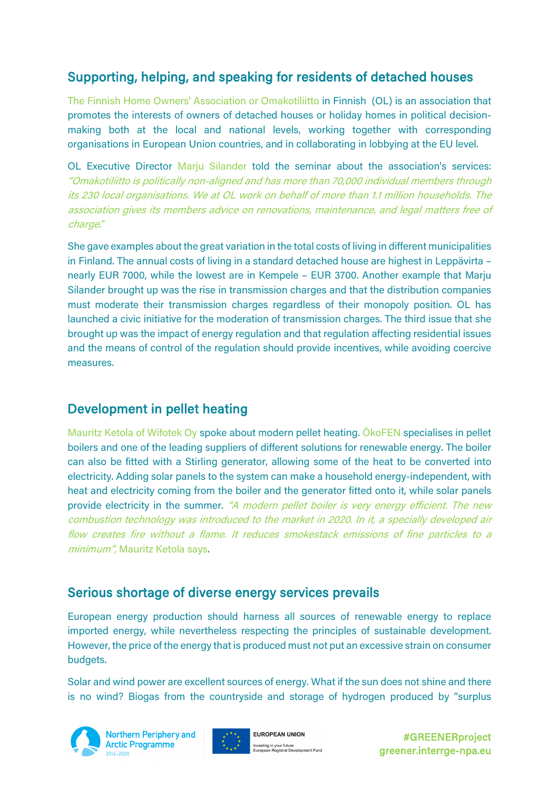# Supporting, helping, and speaking for residents of detached houses

The Finnish Home Owners' Association or Omakotiliitto in Finnish (OL) is an association that promotes the interests of owners of detached houses or holiday homes in political decisionmaking both at the local and national levels, working together with corresponding organisations in European Union countries, and in collaborating in lobbying at the EU level.

OL Executive Director Marju Silander told the seminar about the association's services: "Omakotiliitto is politically non-aligned and has more than 70,000 individual members through its 230 local organisations. We at OL work on behalf of more than 1.1 million households. The association gives its members advice on renovations, maintenance, and legal matters free of charge."

She gave examples about the great variation in the total costs of living in different municipalities in Finland. The annual costs of living in a standard detached house are highest in Leppävirta – nearly EUR 7000, while the lowest are in Kempele – EUR 3700. Another example that Marju Silander brought up was the rise in transmission charges and that the distribution companies must moderate their transmission charges regardless of their monopoly position. OL has launched a civic initiative for the moderation of transmission charges. The third issue that she brought up was the impact of energy regulation and that regulation affecting residential issues and the means of control of the regulation should provide incentives, while avoiding coercive measures.

# Development in pellet heating

Mauritz Ketola of Wifotek Oy spoke about modern pellet heating. ÖkoFEN specialises in pellet boilers and one of the leading suppliers of different solutions for renewable energy. The boiler can also be fitted with a Stirling generator, allowing some of the heat to be converted into electricity. Adding solar panels to the system can make a household energy-independent, with heat and electricity coming from the boiler and the generator fitted onto it, while solar panels provide electricity in the summer. "A modern pellet boiler is very energy efficient. The new combustion technology was introduced to the market in 2020. In it, a specially developed air flow creates fire without a flame. It reduces smokestack emissions of fine particles to a minimum", Mauritz Ketola says.

#### Serious shortage of diverse energy services prevails

European energy production should harness all sources of renewable energy to replace imported energy, while nevertheless respecting the principles of sustainable development. However, the price of the energy that is produced must not put an excessive strain on consumer budgets.

Solar and wind power are excellent sources of energy. What if the sun does not shine and there is no wind? Biogas from the countryside and storage of hydrogen produced by "surplus



**Northern Periphery and Arctic Programme** 



**ELIROPEAN LINION** Investing in your future<br>European Regional Development Fund

#GREENERproject greener.interrge-npa.eu